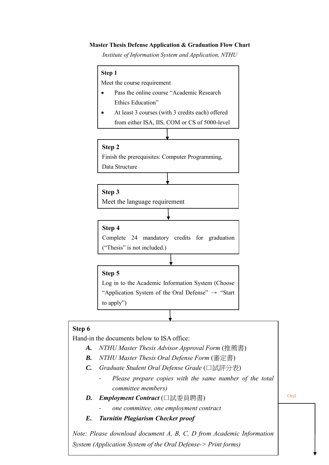#### **Master Thesis Defense Application & Graduation Flow Chart**

*Institute of Information System and Application, NTHU*

# **Step 1** Meet the course requirement Pass the online course "Academic Research Ethics Education" At least 3 courses (with 3 credits each) offered from either ISA, IIS, COM or CS of 5000-level **Step 2** Finish the prerequisites: Computer Programming, Data Structure **Step 4** Complete 24 mandatory credits for graduation ("Thesis" is not included.) **Step 3** Meet the language requirement

**Step 5**

Log in to the Academic Information System (Choose "Application System of the Oral Defense"  $\rightarrow$  "Start" to apply")

#### **Step 6**

Hand-in the documents below to ISA office:

- *A. NTHU Master Thesis Advisor Approval Form* (推薦書)
- *B. NTHU Master Thesis Oral Defense Form* (審定書)
- *C. Graduate Student Oral Defense Grade* (口試評分表)
	- Please prepare copies with the same number of the total *committee members)*
- *D. Employment Contract* (口試委員聘書)
	- *one committee, one employment contract*
- *E. Turnitin Plagiarism Checker proof*

*Note: Please download document A, B, C, D from Academic Information System (Application System of the Oral Defense-> Print forms)*

Oral